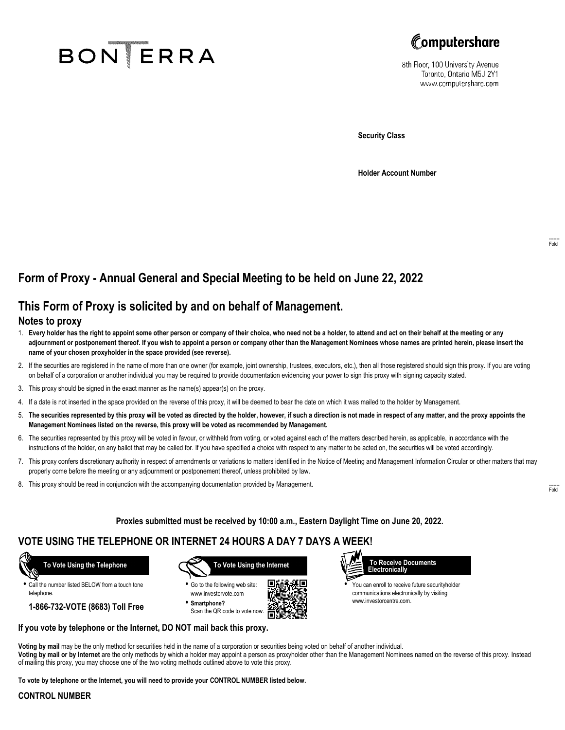# **BON ERRA**



8th Floor, 100 University Avenue Toronto, Ontario M5J 2Y1 www.computershare.com

**Security Class**

**Holder Account Number**

# **Form of Proxy - Annual General and Special Meeting to be held on June 22, 2022**

## **This Form of Proxy is solicited by and on behalf of Management.**

## **Notes to proxy**

- 1. **Every holder has the right to appoint some other person or company of their choice, who need not be a holder, to attend and act on their behalf at the meeting or any adjournment or postponement thereof. If you wish to appoint a person or company other than the Management Nominees whose names are printed herein, please insert the name of your chosen proxyholder in the space provided (see reverse).**
- 2. If the securities are registered in the name of more than one owner (for example, joint ownership, trustees, executors, etc.), then all those registered should sign this proxy. If you are voting on behalf of a corporation or another individual you may be required to provide documentation evidencing your power to sign this proxy with signing capacity stated.
- 3. This proxy should be signed in the exact manner as the name(s) appear(s) on the proxy.
- 4. If a date is not inserted in the space provided on the reverse of this proxy, it will be deemed to bear the date on which it was mailed to the holder by Management.
- 5. **The securities represented by this proxy will be voted as directed by the holder, however, if such a direction is not made in respect of any matter, and the proxy appoints the Management Nominees listed on the reverse, this proxy will be voted as recommended by Management.**
- 6. The securities represented by this proxy will be voted in favour, or withheld from voting, or voted against each of the matters described herein, as applicable, in accordance with the instructions of the holder, on any ballot that may be called for. If you have specified a choice with respect to any matter to be acted on, the securities will be voted accordingly.
- 7. This proxy confers discretionary authority in respect of amendments or variations to matters identified in the Notice of Meeting and Management Information Circular or other matters that may properly come before the meeting or any adjournment or postponement thereof, unless prohibited by law.
- 8. This proxy should be read in conjunction with the accompanying documentation provided by Management.

**Proxies submitted must be received by 10:00 a.m., Eastern Daylight Time on June 20, 2022.**

## **VOTE USING THE TELEPHONE OR INTERNET 24 HOURS A DAY 7 DAYS A WEEK!**



**•** Call the number listed BELOW from a touch tone telephone.

**1-866-732-VOTE (8683) Toll Free**



**•** Go to the following web site: www.investorvote.com **• Smartphone?**

Scan the QR code to vote now.





**•** You can enroll to receive future securityholder communications electronically by visiting www.investorcentre.com.

## **If you vote by telephone or the Internet, DO NOT mail back this proxy.**

**Voting by mail** may be the only method for securities held in the name of a corporation or securities being voted on behalf of another individual. **Voting by mail or by Internet** are the only methods by which a holder may appoint a person as proxyholder other than the Management Nominees named on the reverse of this proxy. Instead of mailing this proxy, you may choose one of the two voting methods outlined above to vote this proxy.

**To vote by telephone or the Internet, you will need to provide your CONTROL NUMBER listed below.**

#### **CONTROL NUMBER**